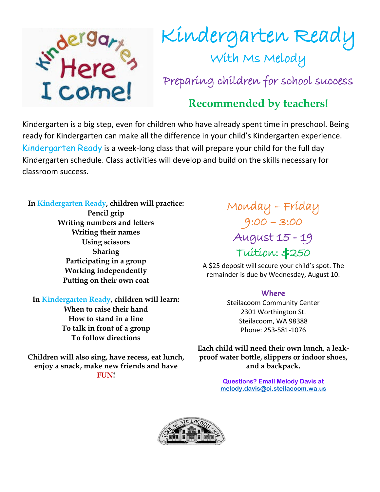

## Kindergarten Ready<br>With Ms Melody Preparing children for school success

## **Recommended by teachers!**

Kindergarten is a big step, even for children who have already spent time in preschool. Being ready for Kindergarten can make all the difference in your child's Kindergarten experience. Kindergarten Ready is a week-long class that will prepare your child for the full day Kindergarten schedule. Class activities will develop and build on the skills necessary for classroom success.

**In Kindergarten Ready, children will practice: Pencil grip Writing numbers and letters Writing their names Using scissors Sharing Participating in a group Working independently Putting on their own coat**

**In Kindergarten Ready, children will learn: When to raise their hand How to stand in a line To talk in front of a group To follow directions**

**Children will also sing, have recess, eat lunch, enjoy a snack, make new friends and have FUN!**

Monday – Friday 9:00 – 3:00 August 15 - 19 Tuition: \$250

A \$25 deposit will secure your child's spot. The remainder is due by Wednesday, August 10.

## **Where**

Steilacoom Community Center 2301 Worthington St. Steilacoom, WA 98388 Phone: 253-581-1076

**Each child will need their own lunch, a leakproof water bottle, slippers or indoor shoes, and a backpack.**

> **Questions? Email Melody Davis at [melody.davis@ci.steilacoom.wa.us](mailto:melody.davis@ci.steilacoom.wa.us)**